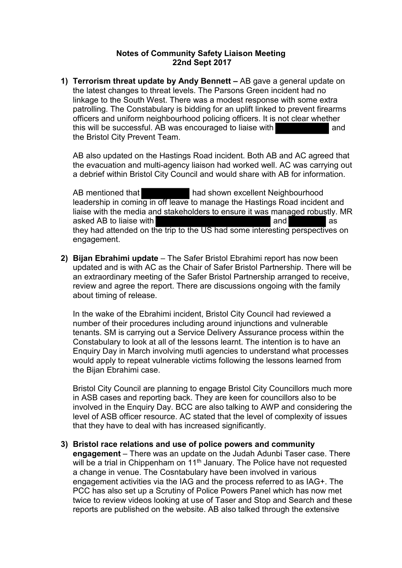## **Notes of Community Safety Liaison Meeting 22nd Sept 2017**

**1) Terrorism threat update by Andy Bennett –** AB gave a general update on the latest changes to threat levels. The Parsons Green incident had no linkage to the South West. There was a modest response with some extra patrolling. The Constabulary is bidding for an uplift linked to prevent firearms officers and uniform neighbourhood policing officers. It is not clear whether this will be successful. AB was encouraged to liaise with and the Bristol City Prevent Team.

AB also updated on the Hastings Road incident. Both AB and AC agreed that the evacuation and multi-agency liaison had worked well. AC was carrying out a debrief within Bristol City Council and would share with AB for information.

AB mentioned that **had shown excellent Neighbourhood** leadership in coming in off leave to manage the Hastings Road incident and liaise with the media and stakeholders to ensure it was managed robustly. MR asked AB to liaise with and as a larger and as a larger and as a larger and as a larger and as a larger and as they had attended on the trip to the US had some interesting perspectives on engagement.

**2) Bijan Ebrahimi update** – The Safer Bristol Ebrahimi report has now been updated and is with AC as the Chair of Safer Bristol Partnership. There will be an extraordinary meeting of the Safer Bristol Partnership arranged to receive, review and agree the report. There are discussions ongoing with the family about timing of release.

In the wake of the Ebrahimi incident, Bristol City Council had reviewed a number of their procedures including around injunctions and vulnerable tenants. SM is carrying out a Service Delivery Assurance process within the Constabulary to look at all of the lessons learnt. The intention is to have an Enquiry Day in March involving mutli agencies to understand what processes would apply to repeat vulnerable victims following the lessons learned from the Bijan Ebrahimi case.

Bristol City Council are planning to engage Bristol City Councillors much more in ASB cases and reporting back. They are keen for councillors also to be involved in the Enquiry Day. BCC are also talking to AWP and considering the level of ASB officer resource. AC stated that the level of complexity of issues that they have to deal with has increased significantly.

## **3) Bristol race relations and use of police powers and community**

**engagement** – There was an update on the Judah Adunbi Taser case. There will be a trial in Chippenham on 11<sup>th</sup> January. The Police have not requested a change in venue. The Cosntabulary have been involved in various engagement activities via the IAG and the process referred to as IAG+. The PCC has also set up a Scrutiny of Police Powers Panel which has now met twice to review videos looking at use of Taser and Stop and Search and these reports are published on the website. AB also talked through the extensive